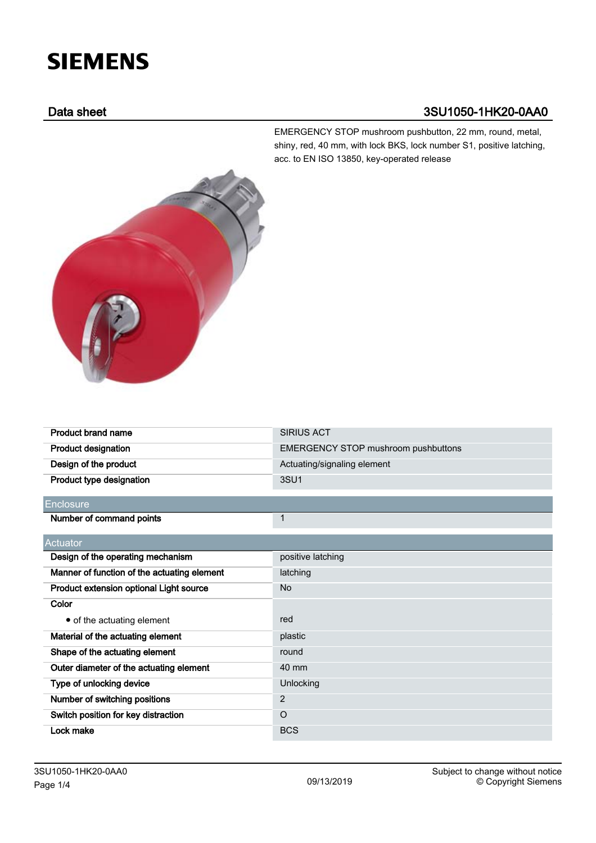# **SIEMENS**

# Data sheet 3SU1050-1HK20-0AA0

EMERGENCY STOP mushroom pushbutton, 22 mm, round, metal, shiny, red, 40 mm, with lock BKS, lock number S1, positive latching, acc. to EN ISO 13850, key-operated release



| <b>Product brand name</b>                   | <b>SIRIUS ACT</b>                          |  |
|---------------------------------------------|--------------------------------------------|--|
| <b>Product designation</b>                  | <b>EMERGENCY STOP mushroom pushbuttons</b> |  |
| Design of the product                       | Actuating/signaling element                |  |
| Product type designation                    | 3SU <sub>1</sub>                           |  |
| Enclosure                                   |                                            |  |
| Number of command points                    | $\mathbf{1}$                               |  |
| Actuator                                    |                                            |  |
| Design of the operating mechanism           | positive latching                          |  |
| Manner of function of the actuating element | latching                                   |  |
| Product extension optional Light source     | <b>No</b>                                  |  |
| Color                                       |                                            |  |
| • of the actuating element                  | red                                        |  |
| Material of the actuating element           | plastic                                    |  |
| Shape of the actuating element              | round                                      |  |
| Outer diameter of the actuating element     | 40 mm                                      |  |
| Type of unlocking device                    | Unlocking                                  |  |
| Number of switching positions               | 2                                          |  |
| Switch position for key distraction         | $\Omega$                                   |  |
| Lock make                                   | <b>BCS</b>                                 |  |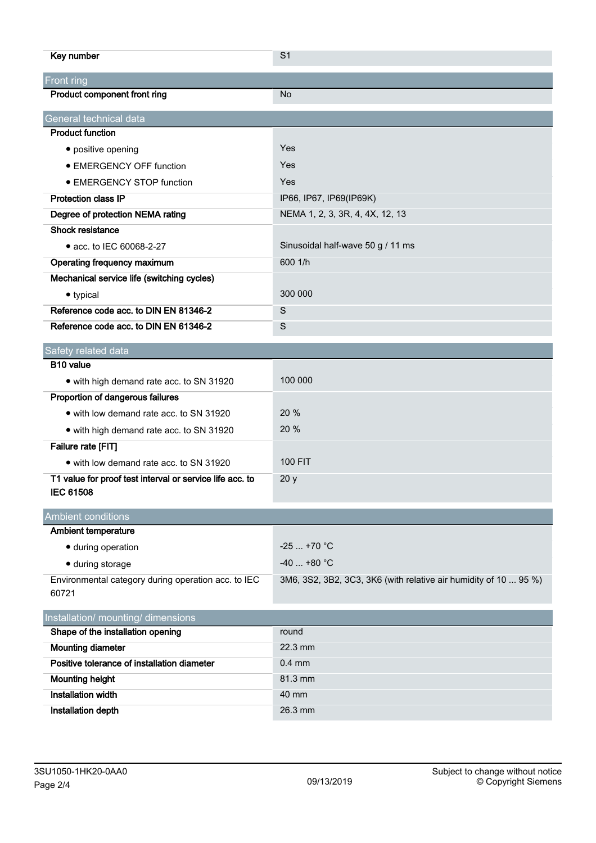| Key number                                                                   | S <sub>1</sub>                                                   |
|------------------------------------------------------------------------------|------------------------------------------------------------------|
| <b>Front ring</b>                                                            |                                                                  |
| Product component front ring                                                 | No                                                               |
| General technical data                                                       |                                                                  |
| <b>Product function</b>                                                      |                                                                  |
| • positive opening                                                           | Yes                                                              |
| • EMERGENCY OFF function                                                     | Yes                                                              |
| • EMERGENCY STOP function                                                    | Yes                                                              |
| <b>Protection class IP</b>                                                   | IP66, IP67, IP69(IP69K)                                          |
| Degree of protection NEMA rating                                             | NEMA 1, 2, 3, 3R, 4, 4X, 12, 13                                  |
| Shock resistance                                                             |                                                                  |
| • acc. to IEC 60068-2-27                                                     | Sinusoidal half-wave 50 g / 11 ms                                |
| Operating frequency maximum                                                  | 600 1/h                                                          |
| Mechanical service life (switching cycles)                                   |                                                                  |
| • typical                                                                    | 300 000                                                          |
| Reference code acc. to DIN EN 81346-2                                        | S                                                                |
| Reference code acc. to DIN EN 61346-2                                        | S                                                                |
| Safety related data                                                          |                                                                  |
| B10 value                                                                    |                                                                  |
| • with high demand rate acc. to SN 31920                                     | 100 000                                                          |
| Proportion of dangerous failures                                             |                                                                  |
| • with low demand rate acc. to SN 31920                                      | 20 %                                                             |
| • with high demand rate acc. to SN 31920                                     | 20 %                                                             |
| Failure rate [FIT]                                                           |                                                                  |
| • with low demand rate acc. to SN 31920                                      | <b>100 FIT</b>                                                   |
| T1 value for proof test interval or service life acc. to<br><b>IEC 61508</b> | 20y                                                              |
| <b>Ambient conditions</b>                                                    |                                                                  |
| Ambient temperature                                                          |                                                                  |
| · during operation                                                           | $-25+70$ °C                                                      |
| · during storage                                                             | $-40$ +80 °C                                                     |
| Environmental category during operation acc. to IEC<br>60721                 | 3M6, 3S2, 3B2, 3C3, 3K6 (with relative air humidity of 10  95 %) |
| Installation/ mounting/ dimensions                                           |                                                                  |
| Shape of the installation opening                                            | round                                                            |
| <b>Mounting diameter</b>                                                     | 22.3 mm                                                          |
| Positive tolerance of installation diameter                                  | $0.4$ mm                                                         |
| <b>Mounting height</b>                                                       | 81.3 mm                                                          |
| <b>Installation width</b>                                                    | 40 mm                                                            |
| Installation depth                                                           | 26.3 mm                                                          |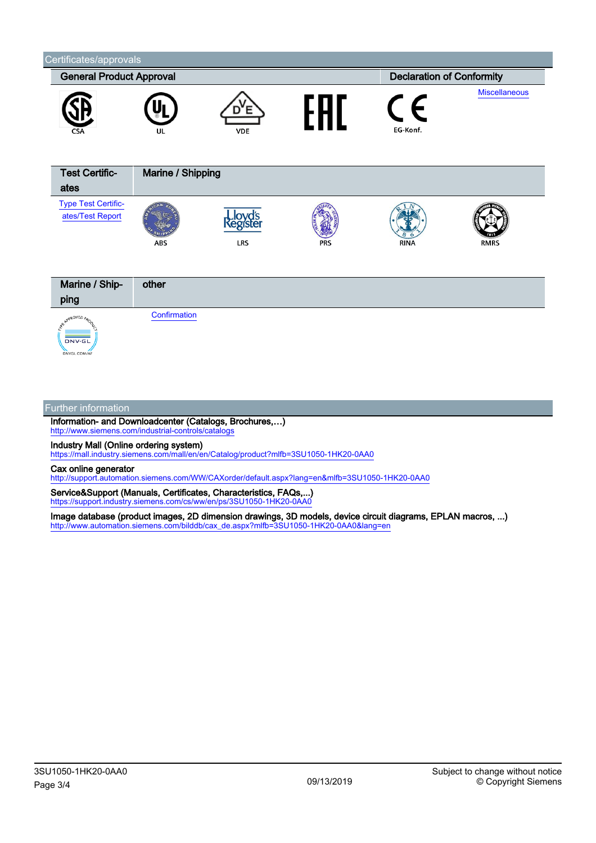

## Further information

Information- and Downloadcenter (Catalogs, Brochures,…) <http://www.siemens.com/industrial-controls/catalogs>

Industry Mall (Online ordering system)

<https://mall.industry.siemens.com/mall/en/en/Catalog/product?mlfb=3SU1050-1HK20-0AA0>

### Cax online generator

<http://support.automation.siemens.com/WW/CAXorder/default.aspx?lang=en&mlfb=3SU1050-1HK20-0AA0>

Service&Support (Manuals, Certificates, Characteristics, FAQs,...) <https://support.industry.siemens.com/cs/ww/en/ps/3SU1050-1HK20-0AA0>

Image database (product images, 2D dimension drawings, 3D models, device circuit diagrams, EPLAN macros, ...) [http://www.automation.siemens.com/bilddb/cax\\_de.aspx?mlfb=3SU1050-1HK20-0AA0&lang=en](http://www.automation.siemens.com/bilddb/cax_de.aspx?mlfb=3SU1050-1HK20-0AA0&lang=en)